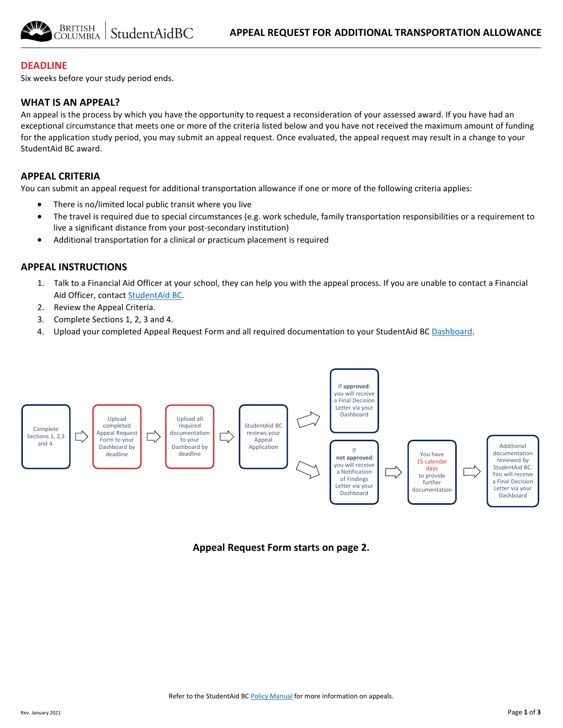## **DEADLINE**

Six weeks before your study period ends.

#### **WHAT IS AN APPEAL?**

An appeal is the process by which you have the opportunity to request a reconsideration of your assessed award. If you have had an exceptional circumstance that meets one or more of the criteria listed below and you have not received the maximum amount of funding for the application study period, you may submit an appeal request. Once evaluated, the appeal request may result in a change to your StudentAid BC award.

## **APPEAL CRITERIA**

You can submit an appeal request for additional transportation allowance if one or more of the following criteria applies:

- There is no/limited local public transit where you live
- The travel is required due to special circumstances (e.g. work schedule, family transportation responsibilities or a requirement to live a significant distance from your post-secondary institution)
- Additional transportation for a clinical or practicum placement is required

#### **APPEAL INSTRUCTIONS**

- 1. Talk to a Financial Aid Officer at your school, they can help you with the appeal process. If you are unable to contact a Financial Aid Officer, contac[t StudentAid BC.](https://studentaidbc.ca/contact-information)
- 2. Review the Appeal Criteria.
- 3. Complete Sections 1, 2, 3 and 4.
- 4. Upload your completed Appeal Request Form and all required documentation to your StudentAid BC [Dashboard.](https://studentaidbc.ca/dashboard)



**Appeal Request Form starts on page 2.**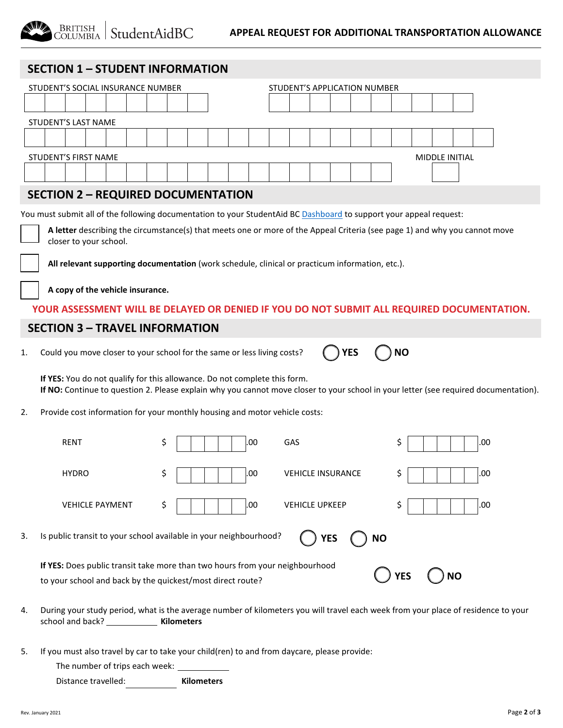| <b>SECTION 1 - STUDENT INFORMATION</b>                                                                             |                                   |                                                                                                 |                              |                                                                                                                                      |  |
|--------------------------------------------------------------------------------------------------------------------|-----------------------------------|-------------------------------------------------------------------------------------------------|------------------------------|--------------------------------------------------------------------------------------------------------------------------------------|--|
|                                                                                                                    | STUDENT'S SOCIAL INSURANCE NUMBER |                                                                                                 | STUDENT'S APPLICATION NUMBER |                                                                                                                                      |  |
|                                                                                                                    |                                   |                                                                                                 |                              |                                                                                                                                      |  |
|                                                                                                                    | STUDENT'S LAST NAME               |                                                                                                 |                              |                                                                                                                                      |  |
|                                                                                                                    |                                   |                                                                                                 |                              |                                                                                                                                      |  |
|                                                                                                                    | <b>STUDENT'S FIRST NAME</b>       |                                                                                                 |                              | <b>MIDDLE INITIAL</b>                                                                                                                |  |
|                                                                                                                    |                                   |                                                                                                 |                              |                                                                                                                                      |  |
|                                                                                                                    |                                   | <b>SECTION 2 - REQUIRED DOCUMENTATION</b>                                                       |                              |                                                                                                                                      |  |
| You must submit all of the following documentation to your StudentAid BC Dashboard to support your appeal request: |                                   |                                                                                                 |                              |                                                                                                                                      |  |
|                                                                                                                    |                                   |                                                                                                 |                              | A letter describing the circumstance(s) that meets one or more of the Appeal Criteria (see page 1) and why you cannot move           |  |
|                                                                                                                    | closer to your school.            |                                                                                                 |                              |                                                                                                                                      |  |
|                                                                                                                    |                                   | All relevant supporting documentation (work schedule, clinical or practicum information, etc.). |                              |                                                                                                                                      |  |
|                                                                                                                    |                                   |                                                                                                 |                              |                                                                                                                                      |  |
|                                                                                                                    | A copy of the vehicle insurance.  |                                                                                                 |                              |                                                                                                                                      |  |
|                                                                                                                    |                                   |                                                                                                 |                              | YOUR ASSESSMENT WILL BE DELAYED OR DENIED IF YOU DO NOT SUBMIT ALL REQUIRED DOCUMENTATION.                                           |  |
| <b>SECTION 3 - TRAVEL INFORMATION</b>                                                                              |                                   |                                                                                                 |                              |                                                                                                                                      |  |
| 1.                                                                                                                 |                                   | Could you move closer to your school for the same or less living costs?                         | YES                          | <b>NO</b>                                                                                                                            |  |
|                                                                                                                    |                                   | If YES: You do not qualify for this allowance. Do not complete this form.                       |                              | If NO: Continue to question 2. Please explain why you cannot move closer to your school in your letter (see required documentation). |  |
| 2.                                                                                                                 |                                   | Provide cost information for your monthly housing and motor vehicle costs:                      |                              |                                                                                                                                      |  |
|                                                                                                                    | RENT                              | .00<br>Ş                                                                                        | GAS                          | .00<br>Ş                                                                                                                             |  |
|                                                                                                                    | <b>HYDRO</b>                      | \$<br>.00                                                                                       | <b>VEHICLE INSURANCE</b>     | .00<br>Ş                                                                                                                             |  |
|                                                                                                                    | <b>VEHICLE PAYMENT</b>            | \$<br>.00                                                                                       | <b>VEHICLE UPKEEP</b>        | \$<br>.00                                                                                                                            |  |
| 3.                                                                                                                 |                                   | Is public transit to your school available in your neighbourhood?                               | <b>YES</b>                   | <b>NO</b>                                                                                                                            |  |
|                                                                                                                    |                                   | If YES: Does public transit take more than two hours from your neighbourhood                    |                              |                                                                                                                                      |  |
|                                                                                                                    |                                   | to your school and back by the quickest/most direct route?                                      |                              | <b>NO</b><br>YES                                                                                                                     |  |
| 4.                                                                                                                 |                                   |                                                                                                 |                              | During your study period, what is the average number of kilometers you will travel each week from your place of residence to your    |  |

5. If you must also travel by car to take your child(ren) to and from daycare, please provide:

The number of trips each week: \_\_\_\_\_\_

Distance travelled: **Kilometers**